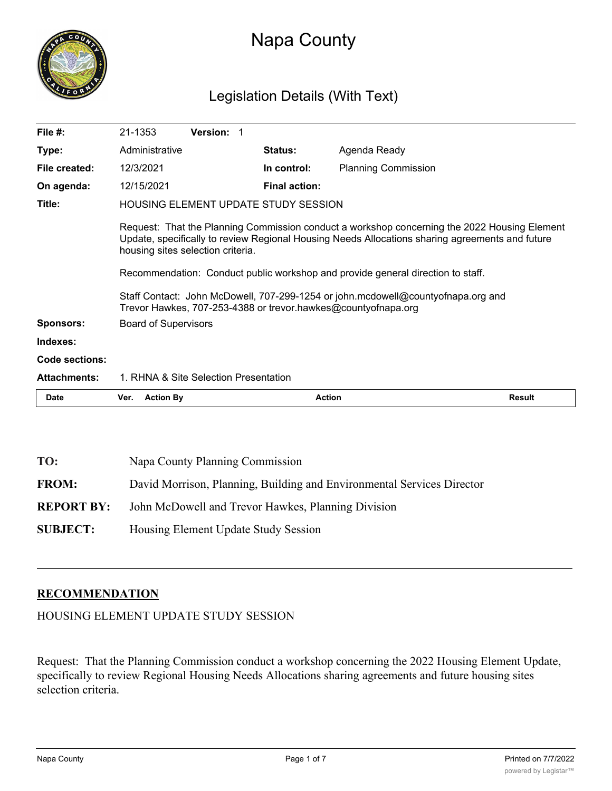

# Napa County

# Legislation Details (With Text)

| File $#$ :            | 21-1353                                     | <b>Version: 1</b>                 |                      |                                                                                                                                                                                                                                                                                                                                                                        |        |
|-----------------------|---------------------------------------------|-----------------------------------|----------------------|------------------------------------------------------------------------------------------------------------------------------------------------------------------------------------------------------------------------------------------------------------------------------------------------------------------------------------------------------------------------|--------|
| Type:                 | Administrative                              |                                   | <b>Status:</b>       | Agenda Ready                                                                                                                                                                                                                                                                                                                                                           |        |
| File created:         | 12/3/2021                                   |                                   | In control:          | <b>Planning Commission</b>                                                                                                                                                                                                                                                                                                                                             |        |
| On agenda:            | 12/15/2021                                  |                                   | <b>Final action:</b> |                                                                                                                                                                                                                                                                                                                                                                        |        |
| Title:                | <b>HOUSING ELEMENT UPDATE STUDY SESSION</b> |                                   |                      |                                                                                                                                                                                                                                                                                                                                                                        |        |
|                       |                                             | housing sites selection criteria. |                      | Request: That the Planning Commission conduct a workshop concerning the 2022 Housing Element<br>Update, specifically to review Regional Housing Needs Allocations sharing agreements and future<br>Recommendation: Conduct public workshop and provide general direction to staff.<br>Staff Contact: John McDowell, 707-299-1254 or john.mcdowell@countyofnapa.org and |        |
|                       |                                             |                                   |                      | Trevor Hawkes, 707-253-4388 or trevor.hawkes@countyofnapa.org                                                                                                                                                                                                                                                                                                          |        |
| <b>Sponsors:</b>      | <b>Board of Supervisors</b>                 |                                   |                      |                                                                                                                                                                                                                                                                                                                                                                        |        |
| Indexes:              |                                             |                                   |                      |                                                                                                                                                                                                                                                                                                                                                                        |        |
| <b>Code sections:</b> |                                             |                                   |                      |                                                                                                                                                                                                                                                                                                                                                                        |        |
| <b>Attachments:</b>   | 1. RHNA & Site Selection Presentation       |                                   |                      |                                                                                                                                                                                                                                                                                                                                                                        |        |
| Date                  | <b>Action By</b><br>Ver.                    |                                   | <b>Action</b>        |                                                                                                                                                                                                                                                                                                                                                                        | Result |

| TO:               | Napa County Planning Commission                                        |
|-------------------|------------------------------------------------------------------------|
| <b>FROM:</b>      | David Morrison, Planning, Building and Environmental Services Director |
| <b>REPORT BY:</b> | John McDowell and Trevor Hawkes, Planning Division                     |
| <b>SUBJECT:</b>   | Housing Element Update Study Session                                   |

# **RECOMMENDATION**

HOUSING ELEMENT UPDATE STUDY SESSION

Request: That the Planning Commission conduct a workshop concerning the 2022 Housing Element Update, specifically to review Regional Housing Needs Allocations sharing agreements and future housing sites selection criteria.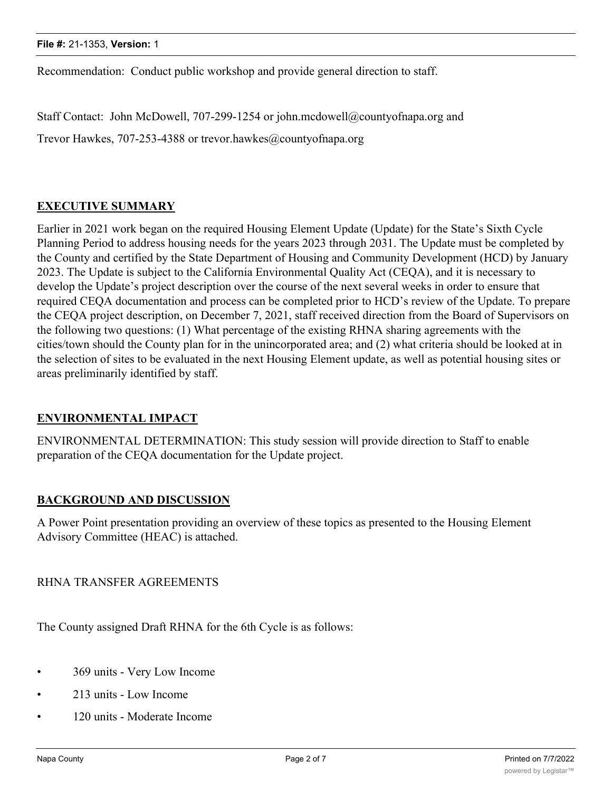Recommendation: Conduct public workshop and provide general direction to staff.

Staff Contact: John McDowell, 707-299-1254 or john.mcdowell@countyofnapa.org and

Trevor Hawkes, 707-253-4388 or trevor.hawkes@countyofnapa.org

# **EXECUTIVE SUMMARY**

Earlier in 2021 work began on the required Housing Element Update (Update) for the State's Sixth Cycle Planning Period to address housing needs for the years 2023 through 2031. The Update must be completed by the County and certified by the State Department of Housing and Community Development (HCD) by January 2023. The Update is subject to the California Environmental Quality Act (CEQA), and it is necessary to develop the Update's project description over the course of the next several weeks in order to ensure that required CEQA documentation and process can be completed prior to HCD's review of the Update. To prepare the CEQA project description, on December 7, 2021, staff received direction from the Board of Supervisors on the following two questions: (1) What percentage of the existing RHNA sharing agreements with the cities/town should the County plan for in the unincorporated area; and (2) what criteria should be looked at in the selection of sites to be evaluated in the next Housing Element update, as well as potential housing sites or areas preliminarily identified by staff.

#### **ENVIRONMENTAL IMPACT**

ENVIRONMENTAL DETERMINATION: This study session will provide direction to Staff to enable preparation of the CEQA documentation for the Update project.

#### **BACKGROUND AND DISCUSSION**

A Power Point presentation providing an overview of these topics as presented to the Housing Element Advisory Committee (HEAC) is attached.

RHNA TRANSFER AGREEMENTS

The County assigned Draft RHNA for the 6th Cycle is as follows:

- 369 units Very Low Income
- 213 units Low Income
- 120 units Moderate Income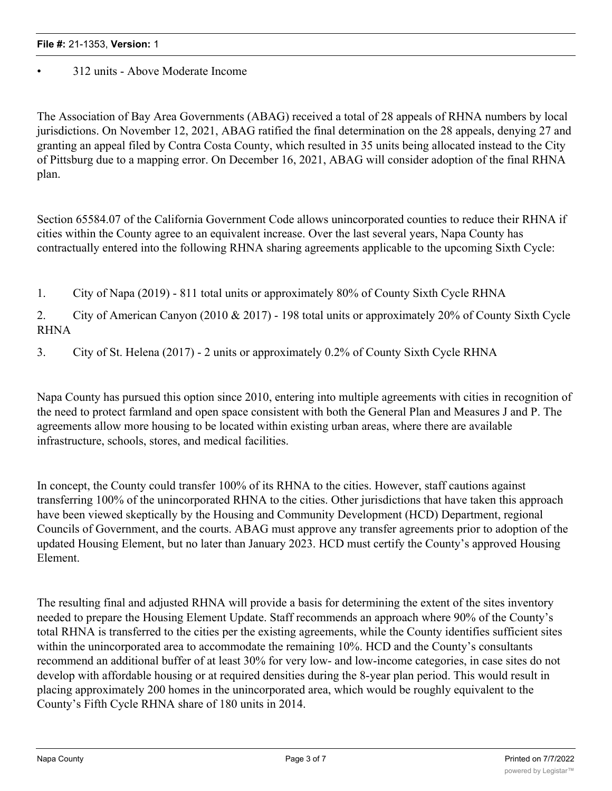# • 312 units - Above Moderate Income

The Association of Bay Area Governments (ABAG) received a total of 28 appeals of RHNA numbers by local jurisdictions. On November 12, 2021, ABAG ratified the final determination on the 28 appeals, denying 27 and granting an appeal filed by Contra Costa County, which resulted in 35 units being allocated instead to the City of Pittsburg due to a mapping error. On December 16, 2021, ABAG will consider adoption of the final RHNA plan.

Section 65584.07 of the California Government Code allows unincorporated counties to reduce their RHNA if cities within the County agree to an equivalent increase. Over the last several years, Napa County has contractually entered into the following RHNA sharing agreements applicable to the upcoming Sixth Cycle:

1. City of Napa (2019) - 811 total units or approximately 80% of County Sixth Cycle RHNA

2. City of American Canyon (2010 & 2017) - 198 total units or approximately 20% of County Sixth Cycle RHNA

3. City of St. Helena (2017) - 2 units or approximately 0.2% of County Sixth Cycle RHNA

Napa County has pursued this option since 2010, entering into multiple agreements with cities in recognition of the need to protect farmland and open space consistent with both the General Plan and Measures J and P. The agreements allow more housing to be located within existing urban areas, where there are available infrastructure, schools, stores, and medical facilities.

In concept, the County could transfer 100% of its RHNA to the cities. However, staff cautions against transferring 100% of the unincorporated RHNA to the cities. Other jurisdictions that have taken this approach have been viewed skeptically by the Housing and Community Development (HCD) Department, regional Councils of Government, and the courts. ABAG must approve any transfer agreements prior to adoption of the updated Housing Element, but no later than January 2023. HCD must certify the County's approved Housing Element.

The resulting final and adjusted RHNA will provide a basis for determining the extent of the sites inventory needed to prepare the Housing Element Update. Staff recommends an approach where 90% of the County's total RHNA is transferred to the cities per the existing agreements, while the County identifies sufficient sites within the unincorporated area to accommodate the remaining 10%. HCD and the County's consultants recommend an additional buffer of at least 30% for very low- and low-income categories, in case sites do not develop with affordable housing or at required densities during the 8-year plan period. This would result in placing approximately 200 homes in the unincorporated area, which would be roughly equivalent to the County's Fifth Cycle RHNA share of 180 units in 2014.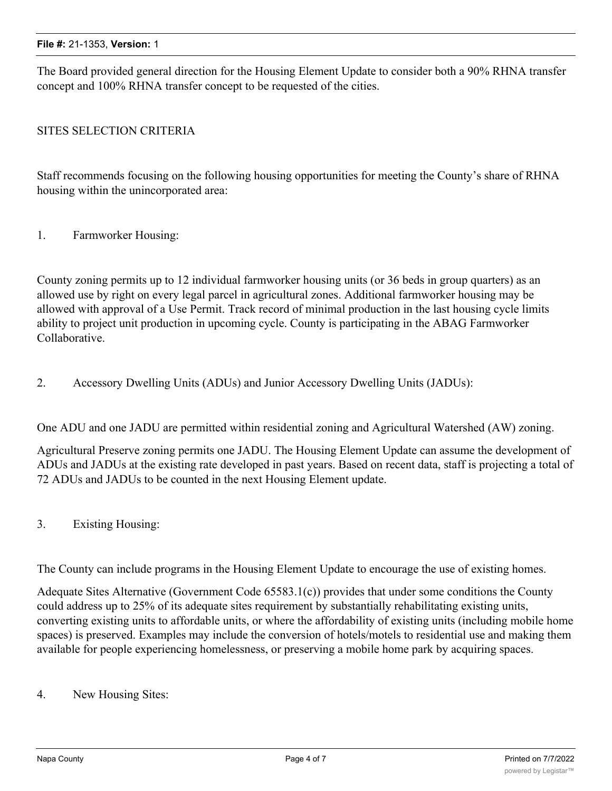The Board provided general direction for the Housing Element Update to consider both a 90% RHNA transfer concept and 100% RHNA transfer concept to be requested of the cities.

# SITES SELECTION CRITERIA

Staff recommends focusing on the following housing opportunities for meeting the County's share of RHNA housing within the unincorporated area:

## 1. Farmworker Housing:

County zoning permits up to 12 individual farmworker housing units (or 36 beds in group quarters) as an allowed use by right on every legal parcel in agricultural zones. Additional farmworker housing may be allowed with approval of a Use Permit. Track record of minimal production in the last housing cycle limits ability to project unit production in upcoming cycle. County is participating in the ABAG Farmworker Collaborative.

2. Accessory Dwelling Units (ADUs) and Junior Accessory Dwelling Units (JADUs):

One ADU and one JADU are permitted within residential zoning and Agricultural Watershed (AW) zoning.

Agricultural Preserve zoning permits one JADU. The Housing Element Update can assume the development of ADUs and JADUs at the existing rate developed in past years. Based on recent data, staff is projecting a total of 72 ADUs and JADUs to be counted in the next Housing Element update.

3. Existing Housing:

The County can include programs in the Housing Element Update to encourage the use of existing homes.

Adequate Sites Alternative (Government Code 65583.1(c)) provides that under some conditions the County could address up to 25% of its adequate sites requirement by substantially rehabilitating existing units, converting existing units to affordable units, or where the affordability of existing units (including mobile home spaces) is preserved. Examples may include the conversion of hotels/motels to residential use and making them available for people experiencing homelessness, or preserving a mobile home park by acquiring spaces.

4. New Housing Sites: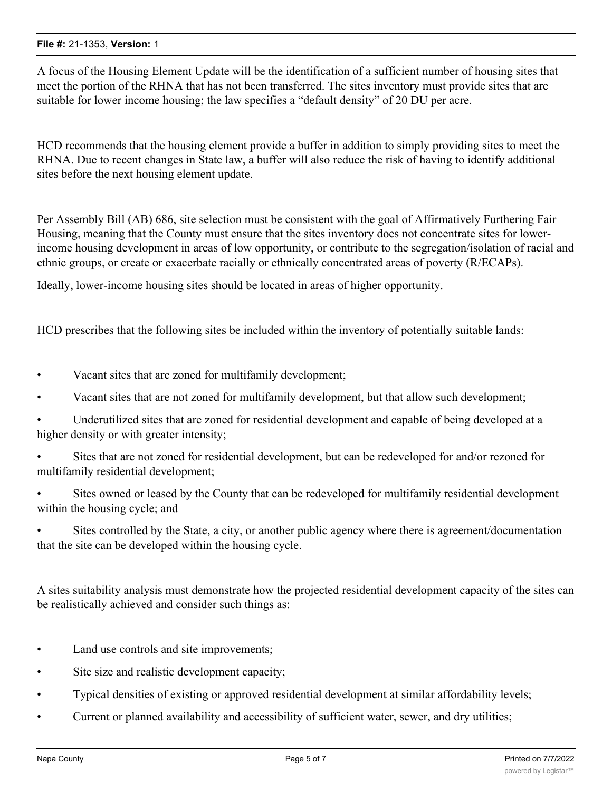A focus of the Housing Element Update will be the identification of a sufficient number of housing sites that meet the portion of the RHNA that has not been transferred. The sites inventory must provide sites that are suitable for lower income housing; the law specifies a "default density" of 20 DU per acre.

HCD recommends that the housing element provide a buffer in addition to simply providing sites to meet the RHNA. Due to recent changes in State law, a buffer will also reduce the risk of having to identify additional sites before the next housing element update.

Per Assembly Bill (AB) 686, site selection must be consistent with the goal of Affirmatively Furthering Fair Housing, meaning that the County must ensure that the sites inventory does not concentrate sites for lowerincome housing development in areas of low opportunity, or contribute to the segregation/isolation of racial and ethnic groups, or create or exacerbate racially or ethnically concentrated areas of poverty (R/ECAPs).

Ideally, lower-income housing sites should be located in areas of higher opportunity.

HCD prescribes that the following sites be included within the inventory of potentially suitable lands:

- Vacant sites that are zoned for multifamily development;
- Vacant sites that are not zoned for multifamily development, but that allow such development;
- Underutilized sites that are zoned for residential development and capable of being developed at a higher density or with greater intensity;
- Sites that are not zoned for residential development, but can be redeveloped for and/or rezoned for multifamily residential development;
- Sites owned or leased by the County that can be redeveloped for multifamily residential development within the housing cycle; and
- Sites controlled by the State, a city, or another public agency where there is agreement/documentation that the site can be developed within the housing cycle.

A sites suitability analysis must demonstrate how the projected residential development capacity of the sites can be realistically achieved and consider such things as:

- Land use controls and site improvements;
- Site size and realistic development capacity;
- Typical densities of existing or approved residential development at similar affordability levels;
- Current or planned availability and accessibility of sufficient water, sewer, and dry utilities;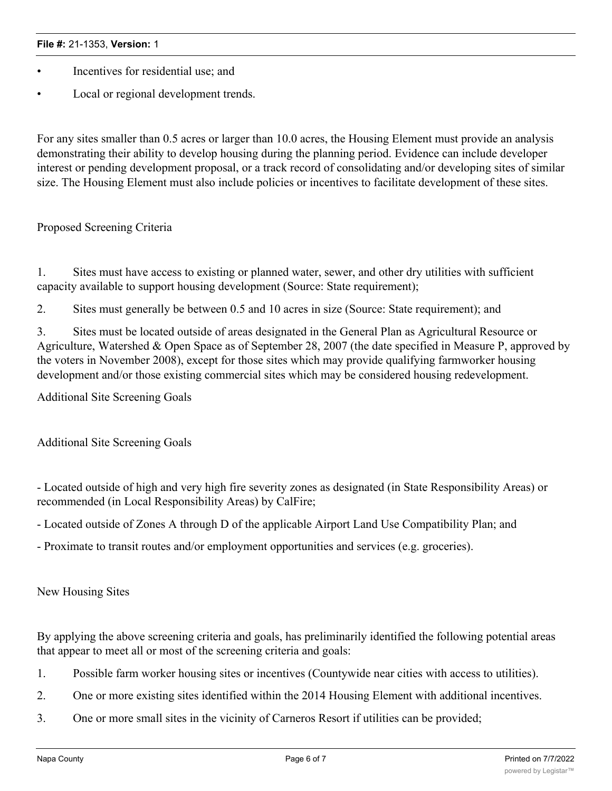- Incentives for residential use; and
- Local or regional development trends.

For any sites smaller than 0.5 acres or larger than 10.0 acres, the Housing Element must provide an analysis demonstrating their ability to develop housing during the planning period. Evidence can include developer interest or pending development proposal, or a track record of consolidating and/or developing sites of similar size. The Housing Element must also include policies or incentives to facilitate development of these sites.

Proposed Screening Criteria

1. Sites must have access to existing or planned water, sewer, and other dry utilities with sufficient capacity available to support housing development (Source: State requirement);

2. Sites must generally be between 0.5 and 10 acres in size (Source: State requirement); and

3. Sites must be located outside of areas designated in the General Plan as Agricultural Resource or Agriculture, Watershed & Open Space as of September 28, 2007 (the date specified in Measure P, approved by the voters in November 2008), except for those sites which may provide qualifying farmworker housing development and/or those existing commercial sites which may be considered housing redevelopment.

Additional Site Screening Goals

Additional Site Screening Goals

- Located outside of high and very high fire severity zones as designated (in State Responsibility Areas) or recommended (in Local Responsibility Areas) by CalFire;

- Located outside of Zones A through D of the applicable Airport Land Use Compatibility Plan; and

- Proximate to transit routes and/or employment opportunities and services (e.g. groceries).

New Housing Sites

By applying the above screening criteria and goals, has preliminarily identified the following potential areas that appear to meet all or most of the screening criteria and goals:

- 1. Possible farm worker housing sites or incentives (Countywide near cities with access to utilities).
- 2. One or more existing sites identified within the 2014 Housing Element with additional incentives.
- 3. One or more small sites in the vicinity of Carneros Resort if utilities can be provided;